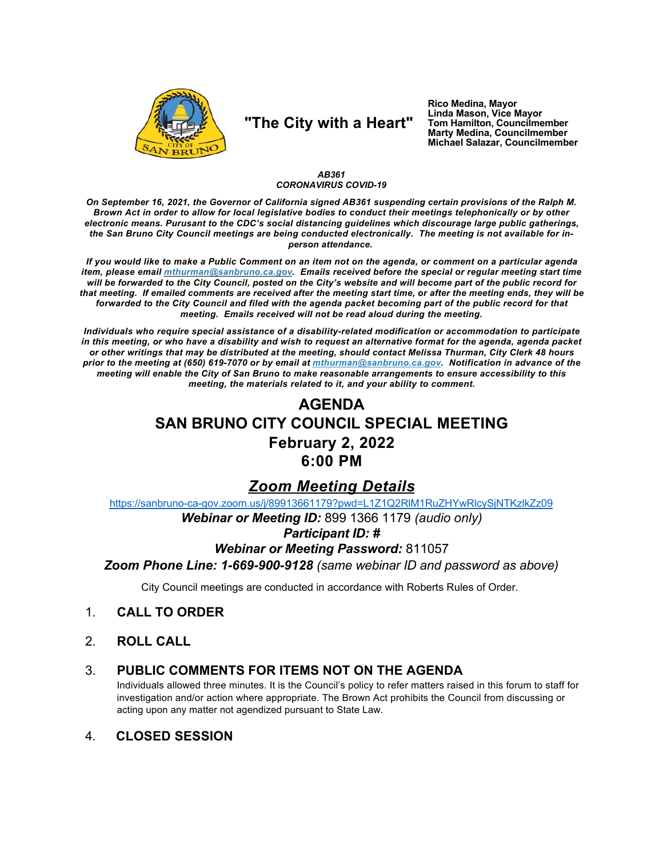

## "The City with a Heart"

Rico Medina, Mayor Linda Mason, Vice Mayor Tom Hamilton, Councilmember<br>Marty Medina, Councilmember Michael Salazar, Councilmember

### AB361 **CORONAVIRUS COVID-19**

On September 16, 2021, the Governor of California signed AB361 suspending certain provisions of the Ralph M. Brown Act in order to allow for local legislative bodies to conduct their meetings telephonically or by other electronic means. Purusant to the CDC's social distancing guidelines which discourage large public gatherings, the San Bruno City Council meetings are being conducted electronically. The meeting is not available for inperson attendance.

If you would like to make a Public Comment on an item not on the agenda, or comment on a particular agenda item, please email *mthurman@sanbruno.ca.gov.* Emails received before the special or regular meeting start time will be forwarded to the City Council, posted on the City's website and will become part of the public record for that meeting. If emailed comments are received after the meeting start time, or after the meeting ends, they will be forwarded to the City Council and filed with the agenda packet becoming part of the public record for that meeting. Emails received will not be read aloud during the meeting.

Individuals who require special assistance of a disability-related modification or accommodation to participate in this meeting, or who have a disability and wish to request an alternative format for the agenda, agenda packet or other writings that may be distributed at the meeting, should contact Melissa Thurman, City Clerk 48 hours prior to the meeting at (650) 619-7070 or by email at mthurman@sanbruno.ca.gov. Notification in advance of the meeting will enable the City of San Bruno to make reasonable arrangements to ensure accessibility to this meeting, the materials related to it, and your ability to comment.

# **AGENDA** SAN BRUNO CITY COUNCIL SPECIAL MEETING February 2, 2022 6:00 PM

## **Zoom Meeting Details**

https://sanbruno-ca-gov.zoom.us/j/89913661179?pwd=L1Z1Q2RIM1RuZHYwRlcySjNTKzlkZz09

Webinar or Meeting ID: 899 1366 1179 (audio only)

### **Participant ID: #**

### **Webinar or Meeting Password: 811057**

Zoom Phone Line: 1-669-900-9128 (same webinar ID and password as above)

City Council meetings are conducted in accordance with Roberts Rules of Order.

#### $\mathbf{1}$ **CALL TO ORDER**

 $2<sup>1</sup>$ **ROLL CALL** 

#### PUBLIC COMMENTS FOR ITEMS NOT ON THE AGENDA  $3_{-}$

Individuals allowed three minutes. It is the Council's policy to refer matters raised in this forum to staff for investigation and/or action where appropriate. The Brown Act prohibits the Council from discussing or acting upon any matter not agendized pursuant to State Law.

#### $\mathbf{4}$ **CLOSED SESSION**